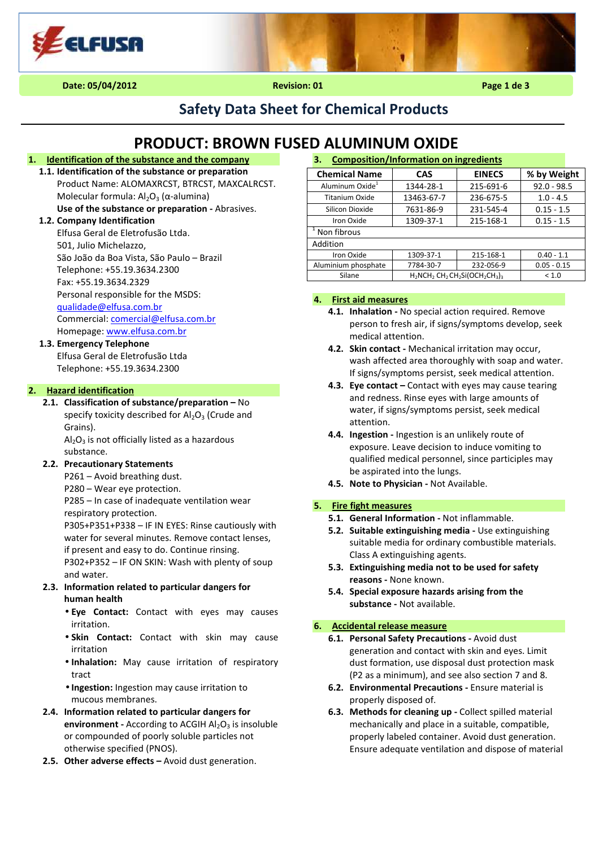

# **Safety Data Sheet for Chemical Products**

# **PRODUCT: BROWN FUSED ALUMINUM OXIDE**

# **1. Identification of the substance and the company**

**1.1. Identification of the substance or preparation**  Product Name: ALOMAXRCST, BTRCST, MAXCALRCST. Molecular formula:  $Al_2O_3$  (α-alumina) **Use of the substance or preparation -** Abrasives.

# **1.2. Company Identification**

Elfusa Geral de Eletrofusão Ltda. 501, Julio Michelazzo, São João da Boa Vista, São Paulo – Brazil Telephone: +55.19.3634.2300 Fax: +55.19.3634.2329 Personal responsible for the MSDS: qualidade@elfusa.com.br Commercial: comercial@elfusa.com.br Homepage: www.elfusa.com.br

# **1.3. Emergency Telephone**

Elfusa Geral de Eletrofusão Ltda Telephone: +55.19.3634.2300

# **2. Hazard identification**

**2.1. Classification of substance/preparation –** No specify toxicity described for  $Al_2O_3$  (Crude and Grains).

 $Al_2O_3$  is not officially listed as a hazardous substance.

# **2.2. Precautionary Statements**

P261 – Avoid breathing dust.

P280 – Wear eye protection.

P285 – In case of inadequate ventilation wear respiratory protection.

P305+P351+P338 – IF IN EYES: Rinse cautiously with water for several minutes. Remove contact lenses, if present and easy to do. Continue rinsing.

P302+P352 – IF ON SKIN: Wash with plenty of soup and water.

### **2.3. Information related to particular dangers for human health**

- **Eye Contact:** Contact with eyes may causes irritation.
- **Skin Contact:** Contact with skin may cause irritation
- **Inhalation:** May cause irritation of respiratory tract
- **Ingestion:** Ingestion may cause irritation to mucous membranes.
- **2.4. Information related to particular dangers for environment** - According to ACGIH Al<sub>2</sub>O<sub>3</sub> is insoluble or compounded of poorly soluble particles not otherwise specified (PNOS).
- **2.5. Other adverse effects** Avoid dust generation.

| <b>Composition/Information on ingredients</b><br>з. |                                     |               |               |  |  |
|-----------------------------------------------------|-------------------------------------|---------------|---------------|--|--|
| <b>Chemical Name</b>                                | CAS                                 | <b>EINECS</b> | % by Weight   |  |  |
| Aluminum Oxide <sup>1</sup>                         | 1344-28-1                           | 215-691-6     | $92.0 - 98.5$ |  |  |
| <b>Titanium Oxide</b>                               | 13463-67-7                          | 236-675-5     | $1.0 - 4.5$   |  |  |
| Silicon Dioxide                                     | 7631-86-9                           | 231-545-4     | $0.15 - 1.5$  |  |  |
| Iron Oxide                                          | 1309-37-1                           | 215-168-1     | $0.15 - 1.5$  |  |  |
| Non fibrous                                         |                                     |               |               |  |  |
| Addition                                            |                                     |               |               |  |  |
| Iron Oxide                                          | 1309-37-1                           | 215-168-1     | $0.40 - 1.1$  |  |  |
| Aluminium phosphate                                 | 7784-30-7                           | 232-056-9     | $0.05 - 0.15$ |  |  |
| Silane                                              | $H_2NCH_2 CH_2 CH_2Si(OCH_2CH_3)_3$ | < 1.0         |               |  |  |

# **4. First aid measures**

- **4.1. Inhalation** No special action required. Remove person to fresh air, if signs/symptoms develop, seek medical attention.
- **4.2. Skin contact -** Mechanical irritation may occur, wash affected area thoroughly with soap and water. If signs/symptoms persist, seek medical attention.
- **4.3. Eye contact –** Contact with eyes may cause tearing and redness. Rinse eyes with large amounts of water, if signs/symptoms persist, seek medical attention.
- **4.4. Ingestion** Ingestion is an unlikely route of exposure. Leave decision to induce vomiting to qualified medical personnel, since participles may be aspirated into the lungs.
- **4.5. Note to Physician** Not Available.

# **5. Fire fight measures**

- **5.1. General Information** Not inflammable.
- **5.2. Suitable extinguishing media** Use extinguishing suitable media for ordinary combustible materials. Class A extinguishing agents.
- **5.3. Extinguishing media not to be used for safety reasons -** None known.
- **5.4. Special exposure hazards arising from the substance -** Not available.

# **6. Accidental release measure**

- **6.1. Personal Safety Precautions** Avoid dust generation and contact with skin and eyes. Limit dust formation, use disposal dust protection mask (P2 as a minimum), and see also section 7 and 8.
- **6.2. Environmental Precautions** Ensure material is properly disposed of.
- **6.3. Methods for cleaning up** Collect spilled material mechanically and place in a suitable, compatible, properly labeled container. Avoid dust generation. Ensure adequate ventilation and dispose of material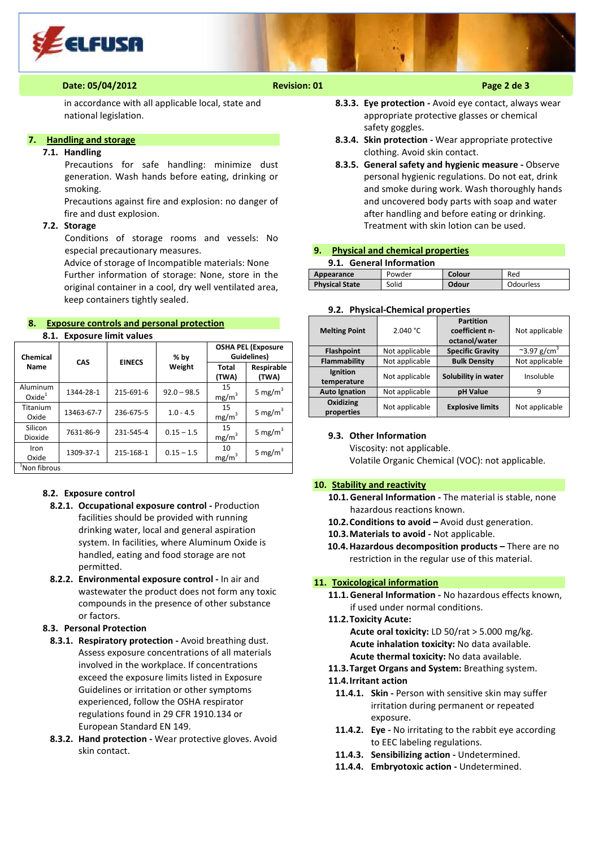

# **Date: 05/04/2012 Revision: 01 Page 2 de 3**

in accordance with all applicable local, state and national legislation.

# **7. Handling and storage**

# **7.1. Handling**

Precautions for safe handling: minimize dust generation. Wash hands before eating, drinking or smoking.

Precautions against fire and explosion: no danger of fire and dust explosion.

#### **7.2. Storage**

Conditions of storage rooms and vessels: No especial precautionary measures.

Advice of storage of Incompatible materials: None Further information of storage: None, store in the original container in a cool, dry well ventilated area, keep containers tightly sealed.

# **8. Exposure controls and personal protection 8.1. Exposure limit values**

| Chemical                       | CAS        | <b>EINECS</b> | $%$ by        | <b>OSHA PEL (Exposure</b><br>Guidelines) |                     |
|--------------------------------|------------|---------------|---------------|------------------------------------------|---------------------|
| Name                           |            |               | Weight        | Total<br>(TWA)                           | Respirable<br>(TWA) |
| Aluminum<br>Oxide <sup>1</sup> | 1344-28-1  | 215-691-6     | $92.0 - 98.5$ | 15<br>mg/m <sup>3</sup>                  | 5 mg/m <sup>3</sup> |
| Titanium<br>Oxide              | 13463-67-7 | 236-675-5     | $1.0 - 4.5$   | 15<br>mg/m <sup>3</sup>                  | 5 mg/m <sup>3</sup> |
| Silicon<br>Dioxide             | 7631-86-9  | 231-545-4     | $0.15 - 1.5$  | 15<br>mg/m <sup>3</sup>                  | 5 mg/m <sup>3</sup> |
| Iron<br>Oxide                  | 1309-37-1  | 215-168-1     | $0.15 - 1.5$  | 10<br>mg/m <sup>3</sup>                  | 5 mg/m <sup>3</sup> |
| <sup>1</sup> Non fibrous       |            |               |               |                                          |                     |

## **8.2. Exposure control**

- **8.2.1. Occupational exposure control** Production facilities should be provided with running drinking water, local and general aspiration system. In facilities, where Aluminum Oxide is handled, eating and food storage are not permitted.
- **8.2.2. Environmental exposure control** In air and wastewater the product does not form any toxic compounds in the presence of other substance or factors.

# **8.3. Personal Protection**

- **8.3.1. Respiratory protection** Avoid breathing dust. Assess exposure concentrations of all materials involved in the workplace. If concentrations exceed the exposure limits listed in Exposure Guidelines or irritation or other symptoms experienced, follow the OSHA respirator regulations found in 29 CFR 1910.134 or European Standard EN 149.
- **8.3.2. Hand protection** Wear protective gloves. Avoid skin contact.
- **8.3.3. Eye protection** Avoid eye contact, always wear appropriate protective glasses or chemical safety goggles.
- **8.3.4. Skin protection** Wear appropriate protective clothing. Avoid skin contact.
- **8.3.5. General safety and hygienic measure** Observe personal hygienic regulations. Do not eat, drink and smoke during work. Wash thoroughly hands and uncovered body parts with soap and water after handling and before eating or drinking. Treatment with skin lotion can be used.

# **9. Physical and chemical properties**

| <b>General Information</b><br>9.1. |        |        |           |  |
|------------------------------------|--------|--------|-----------|--|
| Appearance                         | Powder | Colour | Red       |  |
| <b>Physical State</b>              | Solid  | Odour  | Odourless |  |

# **9.2. Physical-Chemical properties**

| <b>Melting Point</b>    | 2.040 °C       | <b>Partition</b><br>coefficient n-<br>octanol/water | Not applicable                   |
|-------------------------|----------------|-----------------------------------------------------|----------------------------------|
| <b>Flashpoint</b>       | Not applicable | <b>Specific Gravity</b>                             | $\approx$ 3.97 g/cm <sup>3</sup> |
| Flammability            | Not applicable | <b>Bulk Density</b>                                 | Not applicable                   |
| Ignition<br>temperature | Not applicable | Solubility in water                                 | Insoluble                        |
| <b>Auto Ignation</b>    | Not applicable | pH Value                                            | 9                                |
| Oxidizing<br>properties | Not applicable | <b>Explosive limits</b>                             | Not applicable                   |

### **9.3. Other Information**

Viscosity: not applicable. Volatile Organic Chemical (VOC): not applicable.

#### **10. Stability and reactivity**

- **10.1.General Information** The material is stable, none hazardous reactions known.
- **10.2.Conditions to avoid** Avoid dust generation.
- **10.3.Materials to avoid** Not applicable.
- **10.4.Hazardous decomposition products** There are no restriction in the regular use of this material.

#### **11. Toxicological information**

- **11.1.General Information** No hazardous effects known, if used under normal conditions.
- **11.2.Toxicity Acute:**

**Acute oral toxicity:** LD 50/rat > 5.000 mg/kg. **Acute inhalation toxicity:** No data available. **Acute thermal toxicity:** No data available.

# **11.3.Target Organs and System:** Breathing system.

#### **11.4.Irritant action**

- 11.4.1. Skin Person with sensitive skin may suffer irritation during permanent or repeated exposure.
- **11.4.2. Eye -** No irritating to the rabbit eye according to EEC labeling regulations.
- **11.4.3. Sensibilizing action** Undetermined.
- **11.4.4. Embryotoxic action** Undetermined.